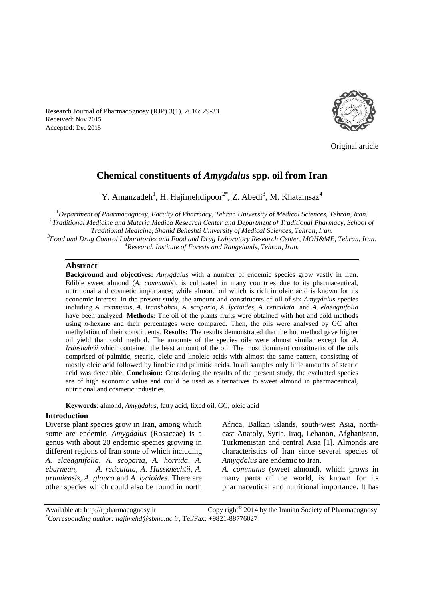Research Journal of Pharmacognosy (RJP) 3(1), 2016: 29-33 Received: Nov 2015 Accepted: Dec 2015



Original article

# **Chemical constituents of** *Amygdalus* **spp. oil from Iran**

Y. Amanzadeh<sup>1</sup>, H. Hajimehdipoor<sup>2\*</sup>, Z. Abedi<sup>3</sup>, M. Khatamsaz<sup>4</sup>

*Department of Pharmacognosy, Faculty of Pharmacy, Tehran University of Medical Sciences, Tehran, Iran. Traditional Medicine and Materia Medica Research Center and Department of Traditional Pharmacy, School of Traditional Medicine, Shahid Beheshti University of Medical Sciences, Tehran, Iran. Food and Drug Control Laboratories and Food and Drug Laboratory Research Center, MOH&ME, Tehran, Iran. Research Institute of Forests and Rangelands, Tehran, Iran.*

#### **Abstract**

**Background and objectives:** *Amygdalus* with a number of endemic species grow vastly in Iran. Edible sweet almond (*A. communis*), is cultivated in many countries due to its pharmaceutical, nutritional and cosmetic importance; while almond oil which is rich in oleic acid is known for its economic interest. In the present study, the amount and constituents of oil of six *Amygdalus* species including *A. communis, A. Iranshahrii, A. scoparia, A. lycioides, A. reticulata* and *A. elaeagnifolia*  have been analyzed*.* **Methods:** The oil of the plants fruits were obtained with hot and cold methods using *n*-hexane and their percentages were compared. Then, the oils were analysed by GC after methylation of their constituents. **Results:** The results demonstrated that the hot method gave higher oil yield than cold method. The amounts of the species oils were almost similar except for *A. Iranshahrii* which contained the least amount of the oil. The most dominant constituents of the oils comprised of palmitic, stearic, oleic and linoleic acids with almost the same pattern, consisting of mostly oleic acid followed by linoleic and palmitic acids. In all samples only little amounts of stearic acid was detectable. **Conclusion:** Considering the results of the present study, the evaluated species are of high economic value and could be used as alternatives to sweet almond in pharmaceutical, nutritional and cosmetic industries.

**Keywords**: almond*, Amygdalus,* fatty acid, fixed oil, GC, oleic acid

### **Introduction**

Diverse plant species grow in Iran, among which some are endemic. *Amygdalus* (Rosaceae) is a genus with about 20 endemic species growing in different regions of Iran some of which including *A. elaeagnifolia, A. scoparia, A. horrida, A. eburnean, A. reticulata, A. Hussknechtii, A. urumiensis, A. glauca* and *A. lycioides*. There are other species which could also be found in north Africa, Balkan islands, south-west Asia, northeast Anatoly, Syria, Iraq, Lebanon, Afghanistan, Turkmenistan and central Asia [1]. Almonds are characteristics of Iran since several species of *Amygdalus* are endemic to Iran.

*A. communis* (sweet almond), which grows in many parts of the world, is known for its pharmaceutical and nutritional importance. It has

Available at: http://rjpharmacognosy.ir Copy right $^{\circ}$  2014 by the Iranian Society of Pharmacognosy *\*Corresponding author: hajimehd@sbmu.ac.ir,* Tel/Fax: +9821-88776027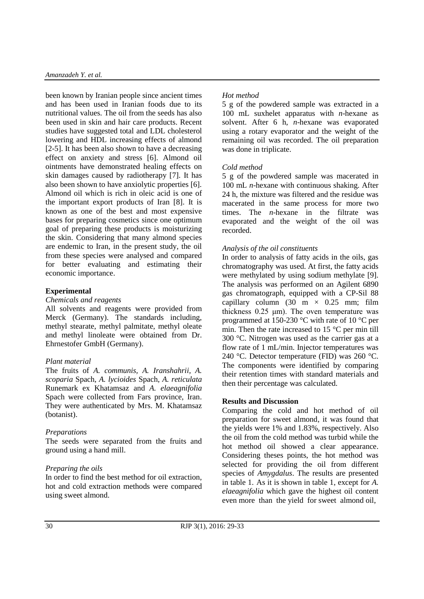been known by Iranian people since ancient times and has been used in Iranian foods due to its nutritional values. The oil from the seeds has also been used in skin and hair care products. Recent studies have suggested total and LDL cholesterol lowering and HDL increasing effects of almond [2-5]. It has been also shown to have a decreasing effect on anxiety and stress [6]. Almond oil ointments have demonstrated healing effects on skin damages caused by radiotherapy [7]. It has also been shown to have anxiolytic properties [6]. Almond oil which is rich in oleic acid is one of the important export products of Iran [8]. It is known as one of the best and most expensive bases for preparing cosmetics since one optimum goal of preparing these products is moisturizing the skin. Considering that many almond species are endemic to Iran, in the present study, the oil from these species were analysed and compared for better evaluating and estimating their economic importance.

### **Experimental**

### *Chemicals and reagents*

All solvents and reagents were provided from Merck (Germany). The standards including, methyl stearate, methyl palmitate, methyl oleate and methyl linoleate were obtained from Dr. Ehrnestofer GmbH (Germany).

### *Plant material*

The fruits of *A. communis, A. Iranshahrii, A. scoparia* Spach*, A. lycioides* Spach*, A. reticulata* Runemark ex Khatamsaz and *A. elaeagnifolia*  Spach were collected from Fars province, Iran. They were authenticated by Mrs. M. Khatamsaz (botanist).

### *Preparations*

The seeds were separated from the fruits and ground using a hand mill.

# *Preparing the oils*

In order to find the best method for oil extraction, hot and cold extraction methods were compared using sweet almond.

## *Hot method*

5 g of the powdered sample was extracted in a 100 mL suxhelet apparatus with *n*-hexane as solvent. After 6 h, *n*-hexane was evaporated using a rotary evaporator and the weight of the remaining oil was recorded. The oil preparation was done in triplicate.

### *Cold method*

5 g of the powdered sample was macerated in 100 mL *n*-hexane with continuous shaking. After 24 h, the mixture was filtered and the residue was macerated in the same process for more two times. The *n*-hexane in the filtrate was evaporated and the weight of the oil was recorded.

### *Analysis of the oil constituents*

In order to analysis of fatty acids in the oils, gas chromatography was used. At first, the fatty acids were methylated by using sodium methylate [9]. The analysis was performed on an Agilent 6890 gas chromatograph, equipped with a CP-Sil 88 capillary column (30 m  $\times$  0.25 mm; film thickness 0.25 μm). The oven temperature was programmed at 150-230 °C with rate of 10 °C per min. Then the rate increased to 15 °C per min till 300 °C. Nitrogen was used as the carrier gas at a flow rate of 1 mL/min. Injector temperatures was 240 °C. Detector temperature (FID) was 260 °C. The components were identified by comparing their retention times with standard materials and then their percentage was calculated.

### **Results and Discussion**

Comparing the cold and hot method of oil preparation for sweet almond, it was found that the yields were 1% and 1.83%, respectively. Also the oil from the cold method was turbid while the hot method oil showed a clear appearance. Considering theses points, the hot method was selected for providing the oil from different species of *Amygdalus*. The results are presented in table 1. As it is shown in table 1, except for *A. elaeagnifolia* which gave the highest oil content even more than the yield for sweet almond oil,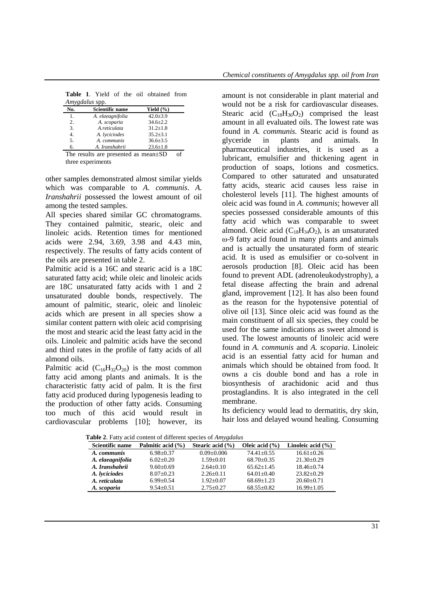|                |                   |  | <b>Table 1.</b> Yield of the oil obtained from |  |
|----------------|-------------------|--|------------------------------------------------|--|
| Amygdalus spp. |                   |  |                                                |  |
| $\mathbf{N}$   | Calculifly manuel |  | V2.13(0/1)                                     |  |

| No.                                        | Scientific name  | Yield $(\% )$  |  |
|--------------------------------------------|------------------|----------------|--|
| 1.                                         | A. elaeagnifolia | $42.0 \pm 3.9$ |  |
| 2.                                         | A. scoparia      | $34.6 \pm 2.2$ |  |
| 3.                                         | A.reticulata     | $31.2 \pm 1.8$ |  |
| $\overline{4}$ .                           | A. lyciciodes    | $35.2 \pm 3.1$ |  |
| 5.                                         | A. communis      | $36.6 \pm 3.5$ |  |
| б.                                         | A. Iranshahrii   | $23.6 \pm 1.8$ |  |
| The results are presented as $mean \pm SD$ |                  |                |  |

three experiments

other samples demonstrated almost similar yields which was comparable to *A. communis*. *A. Iranshahrii* possessed the lowest amount of oil among the tested samples.

All species shared similar GC chromatograms. They contained palmitic, stearic, oleic and linoleic acids. Retention times for mentioned acids were 2.94, 3.69, 3.98 and 4.43 min, respectively. The results of fatty acids content of the oils are presented in table 2.

Palmitic acid is a 16C and stearic acid is a 18C saturated fatty acid; while oleic and linoleic acids are 18C unsaturated fatty acids with 1 and 2 unsaturated double bonds, respectively. The amount of palmitic, stearic, oleic and linoleic acids which are present in all species show a similar content pattern with oleic acid comprising the most and stearic acid the least fatty acid in the oils. Linoleic and palmitic acids have the second and third rates in the profile of fatty acids of all almond oils.

Palmitic acid  $(C_{16}H_{32}O_{20})$  is the most common fatty acid among plants and animals. It is the characteristic fatty acid of palm. It is the first fatty acid produced during lypogenesis leading to the production of other fatty acids. Consuming too much of this acid would result in cardiovascular problems [10]; however, its amount is not considerable in plant material and would not be a risk for cardiovascular diseases. Stearic acid  $(C_{18}H_{36}O_2)$  comprised the least amount in all evaluated oils. The lowest rate was found in *A. communis.* Stearic acid is found as glyceride in plants and animals. In pharmaceutical industries, it is used as a lubricant, emulsifier and thickening agent in production of soaps, lotions and cosmetics. Compared to other saturated and unsaturated fatty acids, stearic acid causes less raise in cholesterol levels [11]. The highest amounts of oleic acid was found in *A. communis*; however all species possessed considerable amounts of this fatty acid which was comparable to sweet almond. Oleic acid  $(C_{18}H_{34}O_2)$ , is an unsaturated ω-9 fatty acid found in many plants and animals and is actually the unsaturated form of stearic acid. It is used as emulsifier or co-solvent in aerosols production [8]. Oleic acid has been found to prevent ADL (adrenoleukodystrophy), a fetal disease affecting the brain and adrenal gland, improvement [12]. It has also been found as the reason for the hypotensive potential of olive oil [13]. Since oleic acid was found as the main constituent of all six species, they could be used for the same indications as sweet almond is used. The lowest amounts of linoleic acid were found in *A. communis* and *A. scoparia*. Linoleic acid is an essential fatty acid for human and animals which should be obtained from food. It owns a cis double bond and has a role in biosynthesis of arachidonic acid and thus prostaglandins. It is also integrated in the cell membrane.

Its deficiency would lead to dermatitis, dry skin, hair loss and delayed wound healing. Consuming

| <b>Eable</b> 2. Patty actu content of unterent species of $Amygaatus$ |                   |                      |                    |                       |  |  |  |
|-----------------------------------------------------------------------|-------------------|----------------------|--------------------|-----------------------|--|--|--|
| Scientific name                                                       | Palmitic acid (%) | Stearic acid $(\% )$ | Oleic acid $(\% )$ | Linoleic acid $(\% )$ |  |  |  |
| A. communis                                                           | $6.98 + 0.37$     | $0.09 + 0.006$       | $74.41 + 0.55$     | $16.61 + 0.26$        |  |  |  |
| A. elaeagnifolia                                                      | $6.02+0.20$       | $1.59 + 0.01$        | $68.70+0.35$       | $21.30 \pm 0.29$      |  |  |  |
| A. Iranshahrii                                                        | $9.60 \pm 0.69$   | $2.64+0.10$          | $65.62+1.45$       | $18.46 + 0.74$        |  |  |  |
| A. lyciciodes                                                         | $8.07+0.23$       | $2.26 \pm 0.11$      | $64.01 + 0.40$     | $23.82+0.29$          |  |  |  |
| A. reticulata                                                         | $6.99 + 0.54$     | $1.92+0.07$          | $68.69 + 1.23$     | $20.60 \pm 0.71$      |  |  |  |
| A. scoparia                                                           | $9.54 \pm 0.51$   | $2.75 \pm 0.27$      | $68.55 \pm 0.82$   | $16.99 \pm 1.05$      |  |  |  |

**Table 2**. Fatty acid content of different species of *Amygdalus*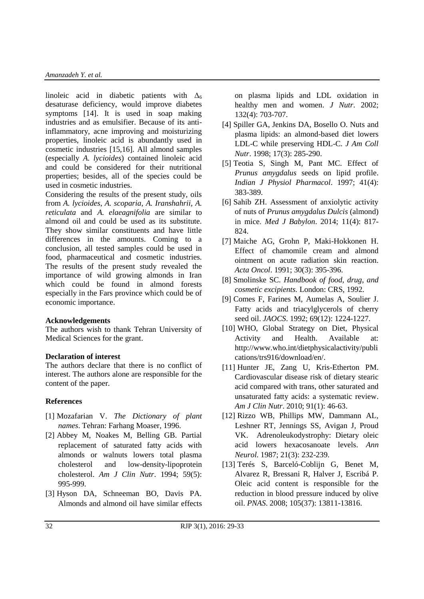linoleic acid in diabetic patients with  $\Delta_6$ desaturase deficiency, would improve diabetes symptoms [14]. It is used in soap making industries and as emulsifier. Because of its antiinflammatory, acne improving and moisturizing properties, linoleic acid is abundantly used in cosmetic industries [15,16]. All almond samples (especially *A. lycioides*) contained linoleic acid and could be considered for their nutritional properties; besides, all of the species could be used in cosmetic industries.

Considering the results of the present study, oils from *A. lycioides*, *A. scoparia*, *A. Iranshahrii*, *A. reticulata* and *A. elaeagnifolia* are similar to almond oil and could be used as its substitute. They show similar constituents and have little differences in the amounts. Coming to a conclusion, all tested samples could be used in food, pharmaceutical and cosmetic industries. The results of the present study revealed the importance of wild growing almonds in Iran which could be found in almond forests especially in the Fars province which could be of economic importance.

### **Acknowledgements**

The authors wish to thank Tehran University of Medical Sciences for the grant.

#### **Declaration of interest**

The authors declare that there is no conflict of interest. The authors alone are responsible for the content of the paper.

### **References**

- [1] Mozafarian V. *The Dictionary of plant names*. Tehran: Farhang Moaser, 1996.
- [2] Abbey M, Noakes M, Belling GB. Partial replacement of saturated fatty acids with almonds or walnuts lowers total plasma cholesterol and low-density-lipoprotein cholesterol. *Am J Clin Nutr*. 1994; 59(5): 995-999.
- [3] Hyson DA, Schneeman BO, Davis PA. Almonds and almond oil have similar effects

on plasma lipids and LDL oxidation in healthy men and women. *J Nutr*. 2002; 132(4): 703-707.

- [4] Spiller GA, Jenkins DA, Bosello O. Nuts and plasma lipids: an almond-based diet lowers LDL-C while preserving HDL-C. *J Am Coll Nutr*. 1998; 17(3): 285-290.
- [5] Teotia S, Singh M, Pant MC. Effect of *Prunus amygdalus* seeds on lipid profile. *Indian J Physiol Pharmacol*. 1997; 41(4): 383-389.
- [6] Sahib ZH. Assessment of anxiolytic activity of nuts of *Prunus amygdalus Dulcis* (almond) in mice. *Med J Babylon*. 2014; 11(4): 817- 824.
- [7] Maiche AG, Grohn P, Maki-Hokkonen H. Effect of chamomile cream and almond ointment on acute radiation skin reaction. *Acta Oncol*. 1991; 30(3): 395-396.
- [8] Smolinske SC. *Handbook of food, drug, and cosmetic excipients.* London: CRS, 1992.
- [9] Comes F, Farines M, Aumelas A, Soulier J. Fatty acids and triacylglycerols of cherry seed oil. *JAOCS*. 1992; 69(12): 1224-1227.
- [10] WHO, Global Strategy on Diet, Physical Activity and Health. Available at: [http://www.who.int/dietphysicalactivity/publi](http://www.who.int/dietphysicalactivity/publications/trs916/download/en/) [cations/trs916/download/en/.](http://www.who.int/dietphysicalactivity/publications/trs916/download/en/)
- [11] Hunter JE, Zang U, Kris-Etherton PM. Cardiovascular disease risk of dietary stearic acid compared with trans, other saturated and unsaturated fatty acids: a systematic review. *Am J Clin Nutr*. 2010; 91(1): 46-63.
- [12] Rizzo WB, Phillips MW, Dammann AL, Leshner RT, Jennings SS, Avigan J, Proud VK. Adrenoleukodystrophy: Dietary oleic acid lowers hexacosanoate levels. *Ann Neurol.* 1987; 21(3): 232-239.
- [13] Terés S, Barceló-Coblijn G, Benet M, Alvarez R, Bressani R, Halver J, Escribá P. Oleic acid content is responsible for the reduction in blood pressure induced by olive oil. *PNAS*. 2008; 105(37): 13811-13816.